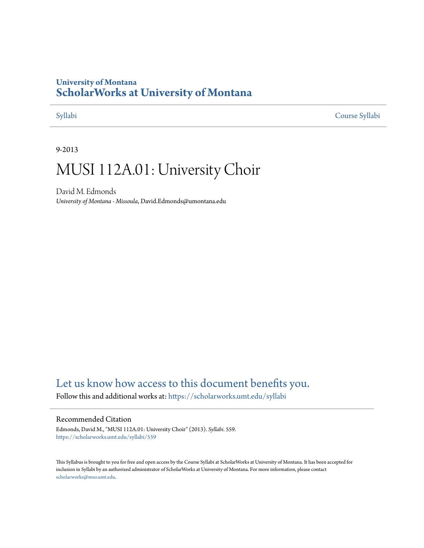# **University of Montana [ScholarWorks at University of Montana](https://scholarworks.umt.edu?utm_source=scholarworks.umt.edu%2Fsyllabi%2F559&utm_medium=PDF&utm_campaign=PDFCoverPages)**

[Syllabi](https://scholarworks.umt.edu/syllabi?utm_source=scholarworks.umt.edu%2Fsyllabi%2F559&utm_medium=PDF&utm_campaign=PDFCoverPages) [Course Syllabi](https://scholarworks.umt.edu/course_syllabi?utm_source=scholarworks.umt.edu%2Fsyllabi%2F559&utm_medium=PDF&utm_campaign=PDFCoverPages)

#### 9-2013

# MUSI 112A.01: University Choir

David M. Edmonds *University of Montana - Missoula*, David.Edmonds@umontana.edu

# [Let us know how access to this document benefits you.](https://goo.gl/forms/s2rGfXOLzz71qgsB2)

Follow this and additional works at: [https://scholarworks.umt.edu/syllabi](https://scholarworks.umt.edu/syllabi?utm_source=scholarworks.umt.edu%2Fsyllabi%2F559&utm_medium=PDF&utm_campaign=PDFCoverPages)

#### Recommended Citation

Edmonds, David M., "MUSI 112A.01: University Choir" (2013). *Syllabi*. 559. [https://scholarworks.umt.edu/syllabi/559](https://scholarworks.umt.edu/syllabi/559?utm_source=scholarworks.umt.edu%2Fsyllabi%2F559&utm_medium=PDF&utm_campaign=PDFCoverPages)

This Syllabus is brought to you for free and open access by the Course Syllabi at ScholarWorks at University of Montana. It has been accepted for inclusion in Syllabi by an authorized administrator of ScholarWorks at University of Montana. For more information, please contact [scholarworks@mso.umt.edu](mailto:scholarworks@mso.umt.edu).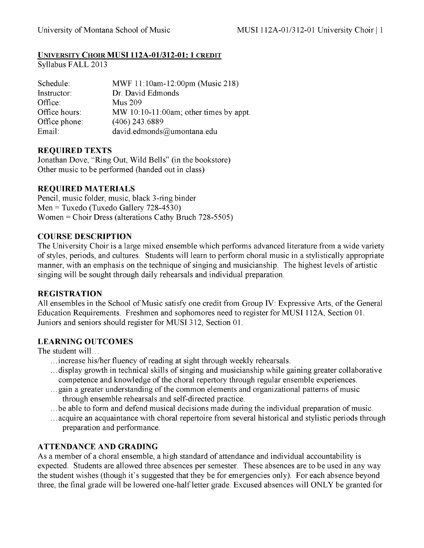### **UNIVERSITY CHOIR MUSI 112A-01/312-01: 1 CREDIT**

Syllabus FALL 2013

| Schedule:     | MWF 11:10am-12:00pm (Music 218)           |
|---------------|-------------------------------------------|
| Instructor:   | Dr. David Edmonds                         |
| Office:       | <b>Mus 209</b>                            |
| Office hours: | MW $10:10-11:00$ am; other times by appt. |
| Office phone: | $(406)$ 243.6889                          |
| Email:        | david.edmonds@umontana.edu                |

### **REQUIRED TEXTS**

Jonathan Dove, "Ring Out, Wild Bells" (in the bookstore) Other music to be performed (handed out in class)

### **REQUIRED MATERIALS**

Pencil, music folder, music, black 3-ring binder  $Men = Tuxedo (Tuxedo Gallery 728-4530)$ Women = Choir Dress (alterations Cathy Bruch 728-5505)

#### **COURSE DESCRIPTION**

The University Choir is a large mixed ensemble which performs advanced literature from a wide variety of styles, periods, and cultures. Students will learn to perform choral music in a stylistically appropriate manner, with an emphasis on the technique of singing and musicianship. The highest levels of artistic singing will be sought through daily rehearsals and individual preparation.

# **REGISTRATION**

All ensembles in the School of Music satisfy one credit from Group IV: Expressive Arts, of the General Education Requirements. Freshmen and sophomores need to register for MUSI 112A, Section 01. Juniors and seniors should register for MUSI 312, Section 01.

# **LEARNING OUTCOMES**

The student will...

- .. .increase his/her fluency of reading at sight through weekly rehearsals.
- .. .display growth in technical skills of singing and musicianship while gaining greater collaborative competence and knowledge of the choral repertory through regular ensemble experiences.
- .. .gain a greater understanding of the common elements and organizational patterns of music through ensemble rehearsals and self-directed practice.
- .. .be able to form and defend musical decisions made during the individual preparation of music.
- .. .acquire an acquaintance with choral repertoire from several historical and stylistic periods through preparation and performance.

# **ATTENDANCE AND GRADING**

As a member of a choral ensemble, a high standard of attendance and individual accountability is expected. Students are allowed three absences per semester. These absences are to be used in any way the student wishes (though it's suggested that they be for emergencies only). For each absence beyond three, the final grade will be lowered one-half letter grade. Excused absences will ONLY be granted for